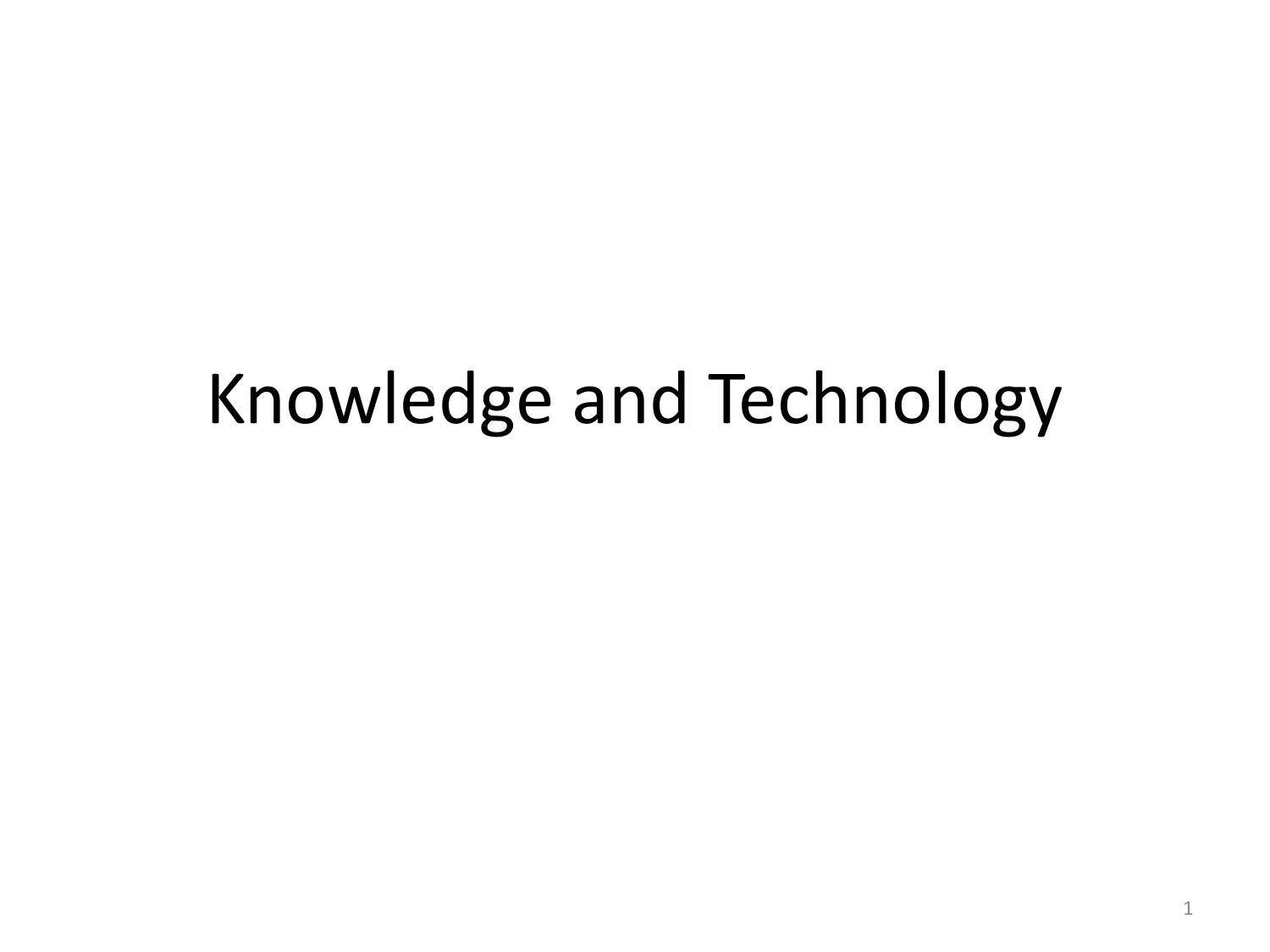## Knowledge and Technology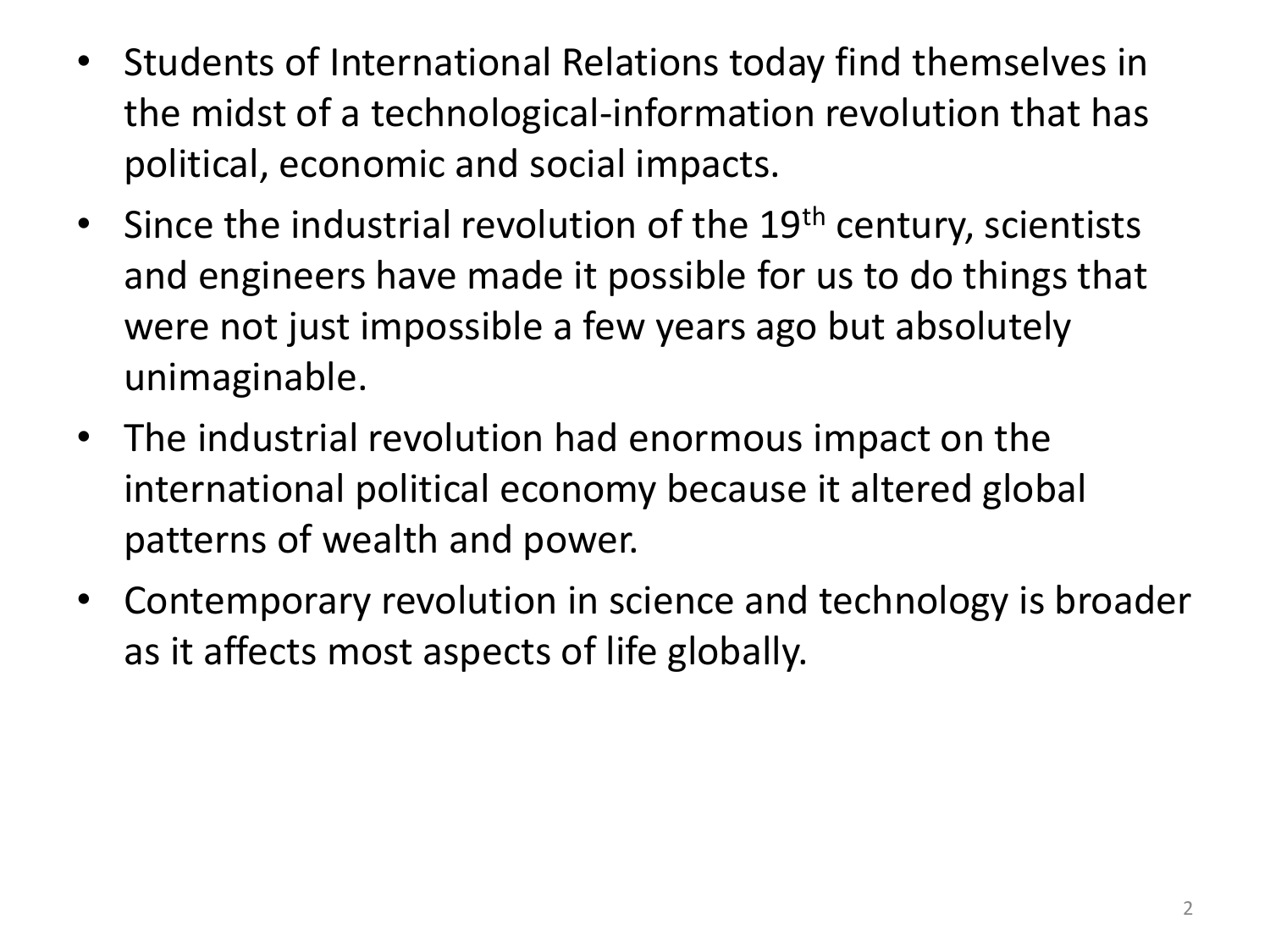- Students of International Relations today find themselves in the midst of a technological-information revolution that has political, economic and social impacts.
- Since the industrial revolution of the  $19<sup>th</sup>$  century, scientists and engineers have made it possible for us to do things that were not just impossible a few years ago but absolutely unimaginable.
- The industrial revolution had enormous impact on the international political economy because it altered global patterns of wealth and power.
- Contemporary revolution in science and technology is broader as it affects most aspects of life globally.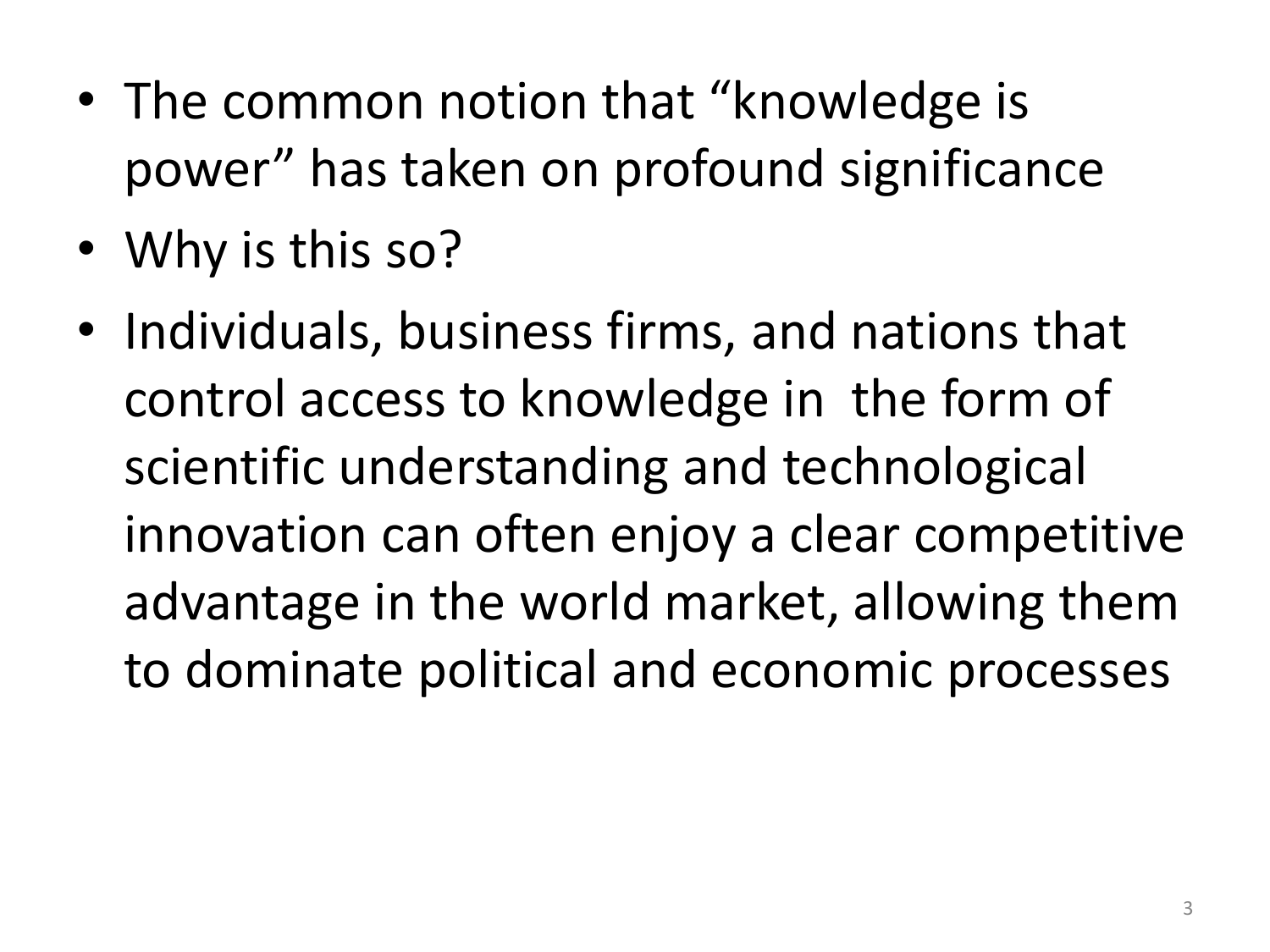- The common notion that "knowledge is power" has taken on profound significance
- Why is this so?
- Individuals, business firms, and nations that control access to knowledge in the form of scientific understanding and technological innovation can often enjoy a clear competitive advantage in the world market, allowing them to dominate political and economic processes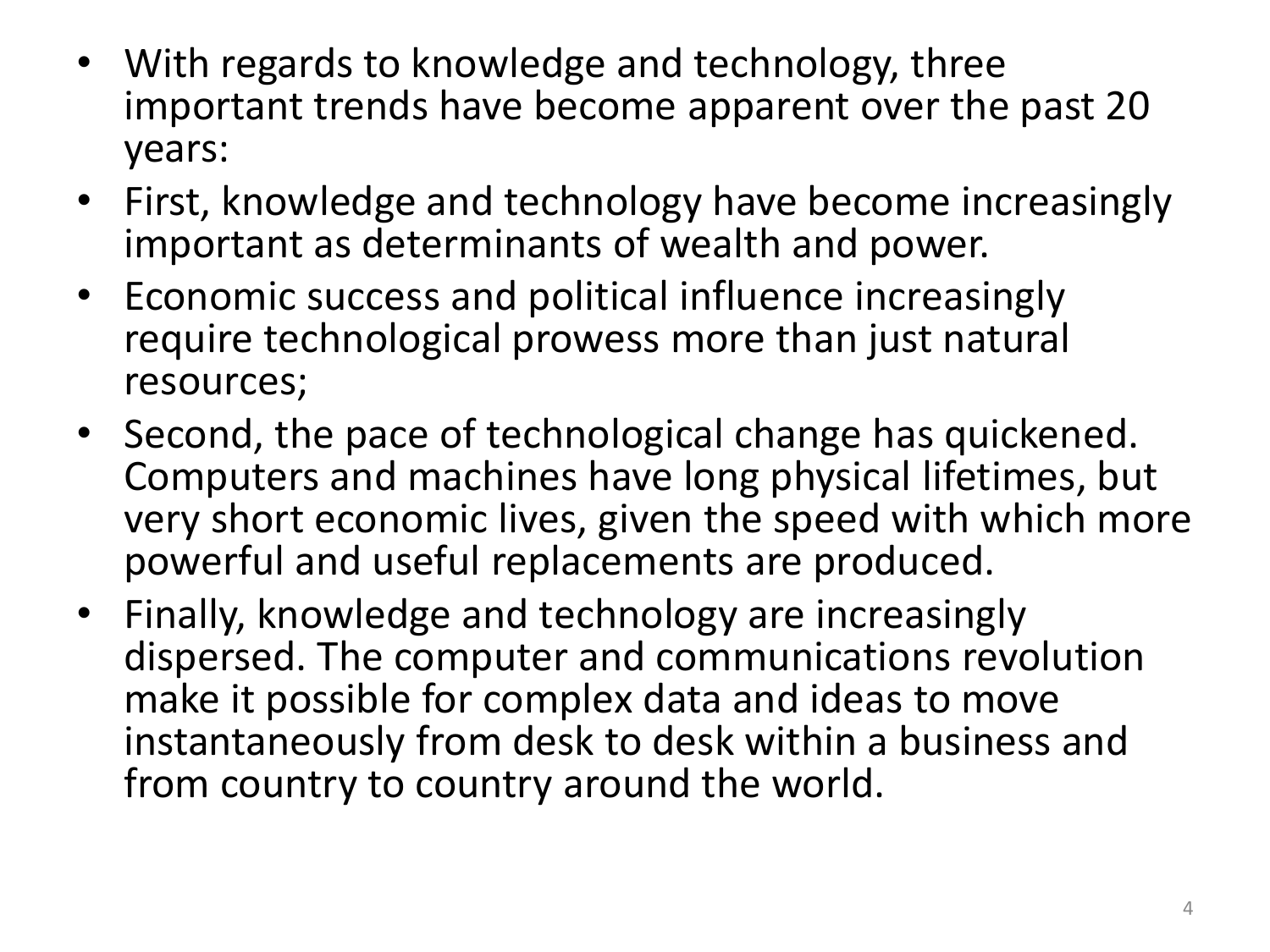- With regards to knowledge and technology, three important trends have become apparent over the past 20 years:
- First, knowledge and technology have become increasingly important as determinants of wealth and power.
- Economic success and political influence increasingly require technological prowess more than just natural resources;
- Second, the pace of technological change has quickened. Computers and machines have long physical lifetimes, but very short economic lives, given the speed with which more powerful and useful replacements are produced.
- Finally, knowledge and technology are increasingly dispersed. The computer and communications revolution make it possible for complex data and ideas to move instantaneously from desk to desk within a business and from country to country around the world.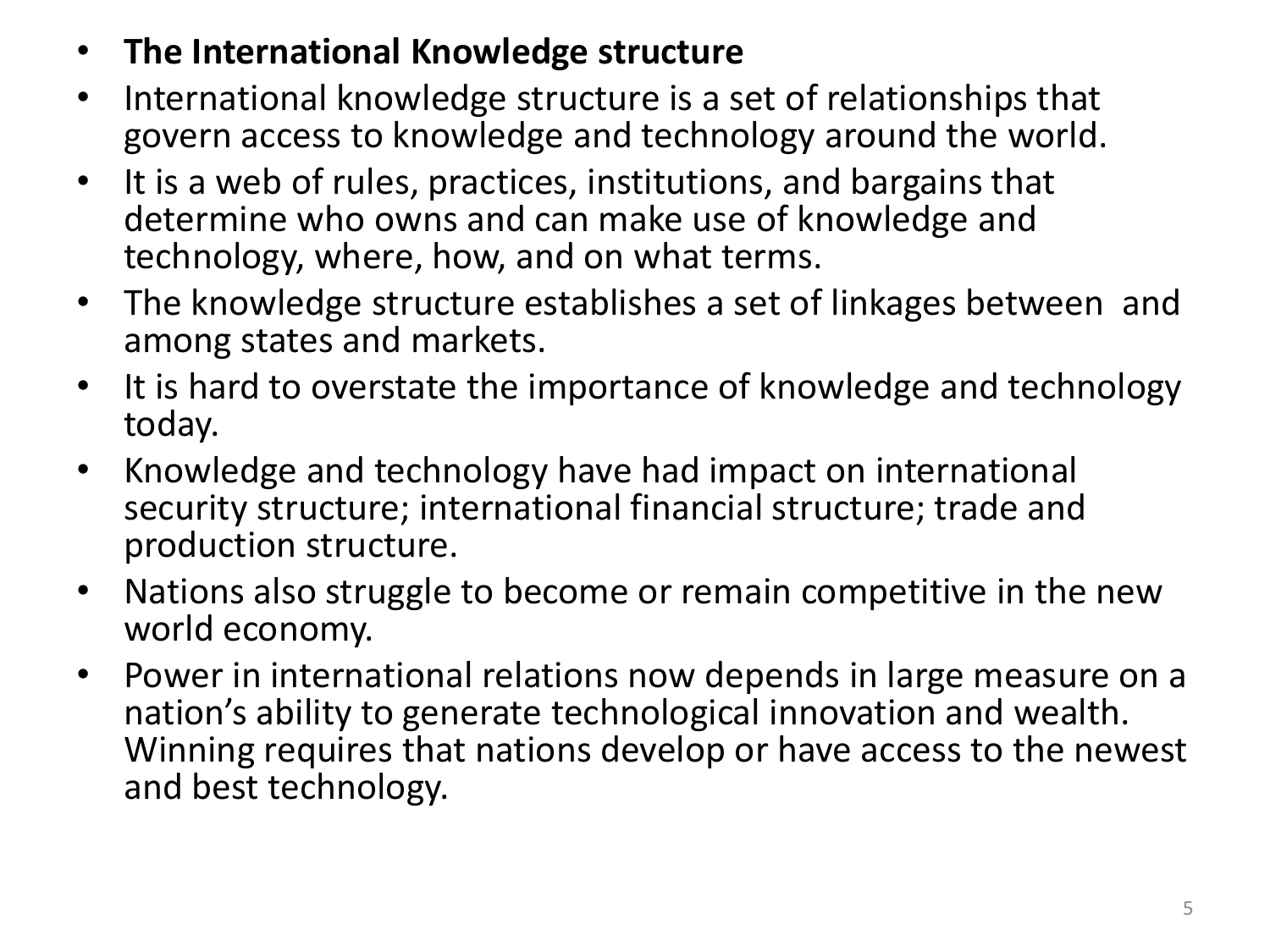- **The International Knowledge structure**
- International knowledge structure is a set of relationships that govern access to knowledge and technology around the world.
- It is a web of rules, practices, institutions, and bargains that determine who owns and can make use of knowledge and technology, where, how, and on what terms.
- The knowledge structure establishes a set of linkages between and among states and markets.
- It is hard to overstate the importance of knowledge and technology today.
- Knowledge and technology have had impact on international security structure; international financial structure; trade and production structure.
- Nations also struggle to become or remain competitive in the new world economy.
- Power in international relations now depends in large measure on a nation's ability to generate technological innovation and wealth. Winning requires that nations develop or have access to the newest and best technology.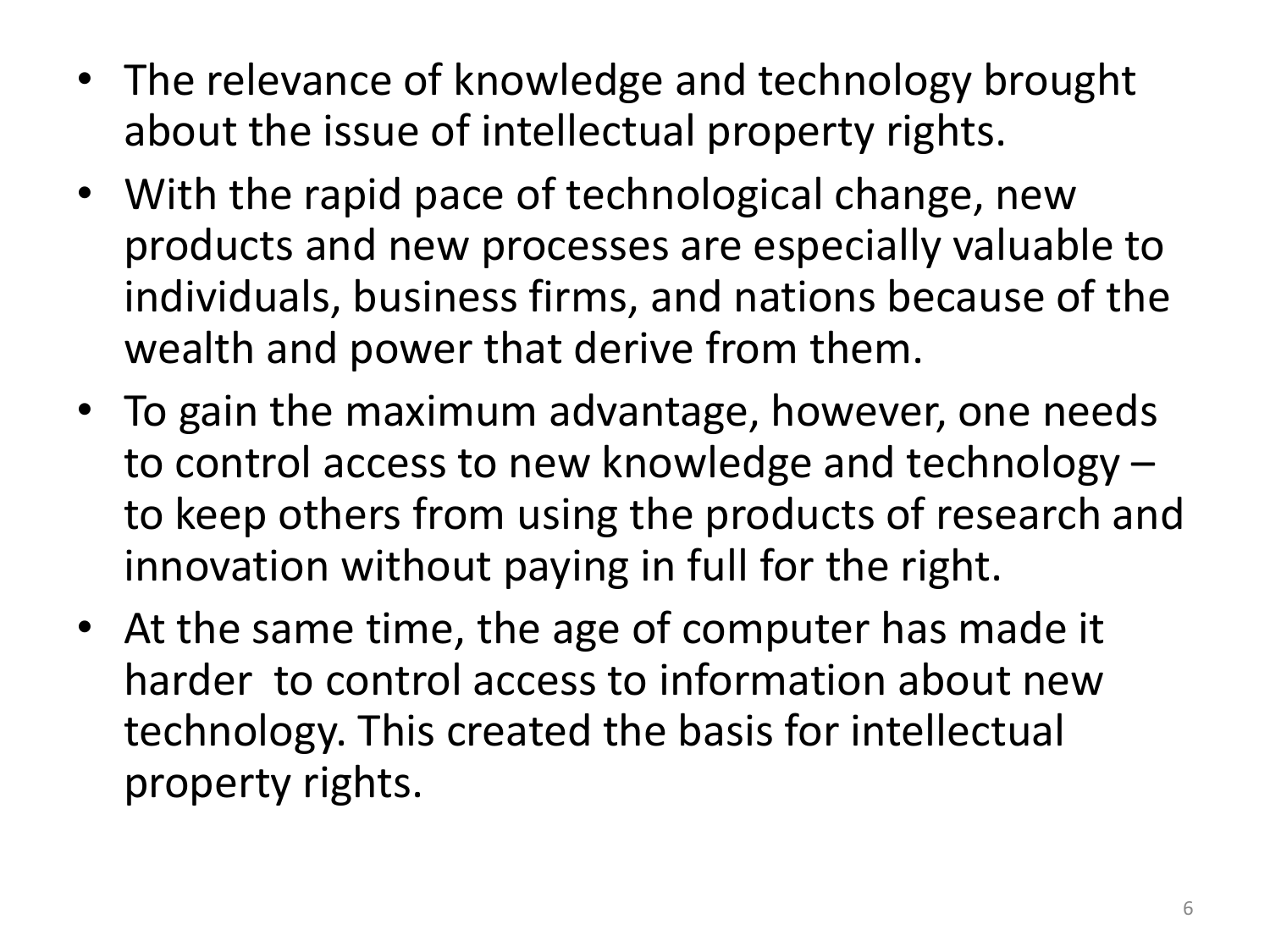- The relevance of knowledge and technology brought about the issue of intellectual property rights.
- With the rapid pace of technological change, new products and new processes are especially valuable to individuals, business firms, and nations because of the wealth and power that derive from them.
- To gain the maximum advantage, however, one needs to control access to new knowledge and technology – to keep others from using the products of research and innovation without paying in full for the right.
- At the same time, the age of computer has made it harder to control access to information about new technology. This created the basis for intellectual property rights.